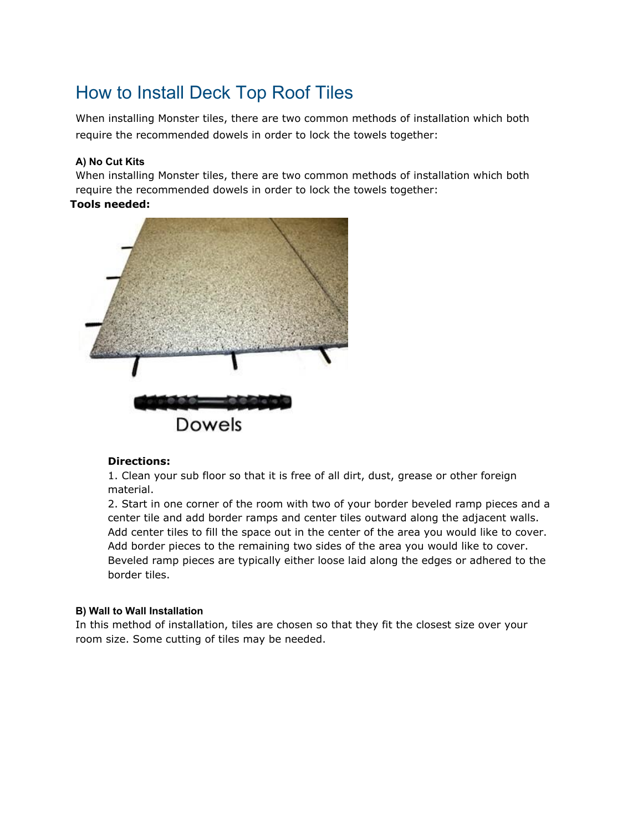# How to Install Deck Top Roof Tiles

When installing Monster tiles, there are two common methods of installation which both require the recommended dowels in order to lock the towels together:

## **A) No Cut Kits**

When installing Monster tiles, there are two common methods of installation which both require the recommended dowels in order to lock the towels together:

### **Tools needed:**



### **Directions:**

1. Clean your sub floor so that it is free of all dirt, dust, grease or other foreign material.

2. Start in one corner of the room with two of your border beveled ramp pieces and a center tile and add border ramps and center tiles outward along the adjacent walls. Add center tiles to fill the space out in the center of the area you would like to cover. Add border pieces to the remaining two sides of the area you would like to cover. Beveled ramp pieces are typically either loose laid along the edges or adhered to the border tiles.

### **B) Wall to Wall Installation**

In this method of installation, tiles are chosen so that they fit the closest size over your room size. Some cutting of tiles may be needed.